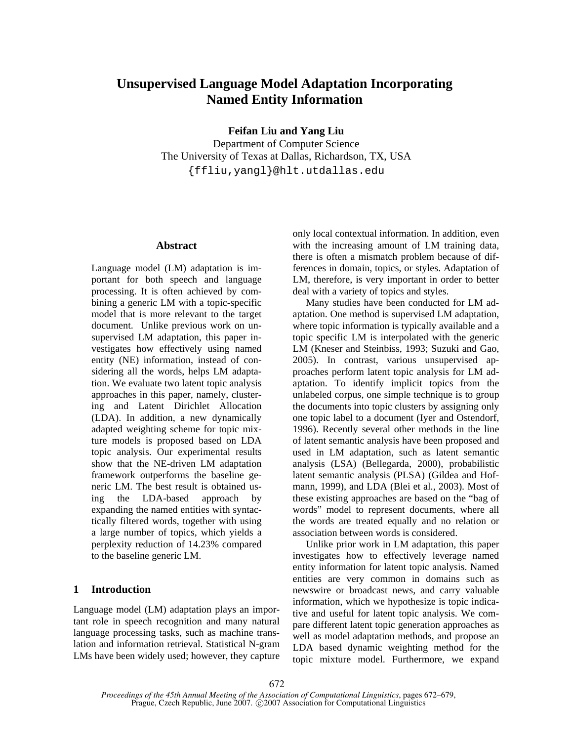# **Unsupervised Language Model Adaptation Incorporating Named Entity Information**

**Feifan Liu and Yang Liu** 

Department of Computer Science The University of Texas at Dallas, Richardson, TX, USA {ffliu,yangl}@hlt.utdallas.edu

# **Abstract**

Language model (LM) adaptation is important for both speech and language processing. It is often achieved by combining a generic LM with a topic-specific model that is more relevant to the target document. Unlike previous work on unsupervised LM adaptation, this paper investigates how effectively using named entity (NE) information, instead of considering all the words, helps LM adaptation. We evaluate two latent topic analysis approaches in this paper, namely, clustering and Latent Dirichlet Allocation (LDA). In addition, a new dynamically adapted weighting scheme for topic mixture models is proposed based on LDA topic analysis. Our experimental results show that the NE-driven LM adaptation framework outperforms the baseline generic LM. The best result is obtained using the LDA-based approach by expanding the named entities with syntactically filtered words, together with using a large number of topics, which yields a perplexity reduction of 14.23% compared to the baseline generic LM.

# **1 Introduction**

Language model (LM) adaptation plays an important role in speech recognition and many natural language processing tasks, such as machine translation and information retrieval. Statistical N-gram LMs have been widely used; however, they capture only local contextual information. In addition, even with the increasing amount of LM training data, there is often a mismatch problem because of differences in domain, topics, or styles. Adaptation of LM, therefore, is very important in order to better deal with a variety of topics and styles.

Many studies have been conducted for LM adaptation. One method is supervised LM adaptation, where topic information is typically available and a topic specific LM is interpolated with the generic LM (Kneser and Steinbiss, 1993; Suzuki and Gao, 2005). In contrast, various unsupervised approaches perform latent topic analysis for LM adaptation. To identify implicit topics from the unlabeled corpus, one simple technique is to group the documents into topic clusters by assigning only one topic label to a document (Iyer and Ostendorf, 1996). Recently several other methods in the line of latent semantic analysis have been proposed and used in LM adaptation, such as latent semantic analysis (LSA) (Bellegarda, 2000), probabilistic latent semantic analysis (PLSA) (Gildea and Hofmann, 1999), and LDA (Blei et al., 2003). Most of these existing approaches are based on the "bag of words" model to represent documents, where all the words are treated equally and no relation or association between words is considered.

Unlike prior work in LM adaptation, this paper investigates how to effectively leverage named entity information for latent topic analysis. Named entities are very common in domains such as newswire or broadcast news, and carry valuable information, which we hypothesize is topic indicative and useful for latent topic analysis. We compare different latent topic generation approaches as well as model adaptation methods, and propose an LDA based dynamic weighting method for the topic mixture model. Furthermore, we expand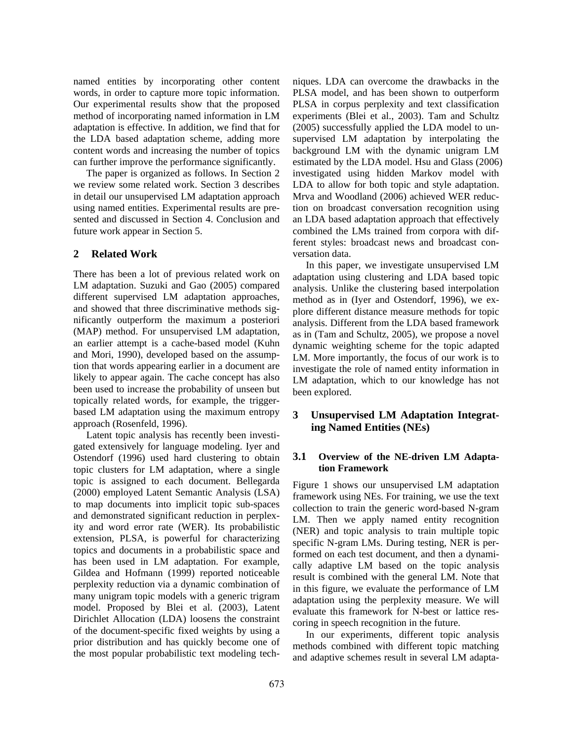named entities by incorporating other content words, in order to capture more topic information. Our experimental results show that the proposed method of incorporating named information in LM adaptation is effective. In addition, we find that for the LDA based adaptation scheme, adding more content words and increasing the number of topics can further improve the performance significantly.

The paper is organized as follows. In Section 2 we review some related work. Section 3 describes in detail our unsupervised LM adaptation approach using named entities. Experimental results are presented and discussed in Section 4. Conclusion and future work appear in Section 5.

# **2 Related Work**

There has been a lot of previous related work on LM adaptation. Suzuki and Gao (2005) compared different supervised LM adaptation approaches, and showed that three discriminative methods significantly outperform the maximum a posteriori (MAP) method. For unsupervised LM adaptation, an earlier attempt is a cache-based model (Kuhn and Mori, 1990), developed based on the assumption that words appearing earlier in a document are likely to appear again. The cache concept has also been used to increase the probability of unseen but topically related words, for example, the triggerbased LM adaptation using the maximum entropy approach (Rosenfeld, 1996).

Latent topic analysis has recently been investigated extensively for language modeling. Iyer and Ostendorf (1996) used hard clustering to obtain topic clusters for LM adaptation, where a single topic is assigned to each document. Bellegarda (2000) employed Latent Semantic Analysis (LSA) to map documents into implicit topic sub-spaces and demonstrated significant reduction in perplexity and word error rate (WER). Its probabilistic extension, PLSA, is powerful for characterizing topics and documents in a probabilistic space and has been used in LM adaptation. For example, Gildea and Hofmann (1999) reported noticeable perplexity reduction via a dynamic combination of many unigram topic models with a generic trigram model. Proposed by Blei et al. (2003), Latent Dirichlet Allocation (LDA) loosens the constraint of the document-specific fixed weights by using a prior distribution and has quickly become one of the most popular probabilistic text modeling techniques. LDA can overcome the drawbacks in the PLSA model, and has been shown to outperform PLSA in corpus perplexity and text classification experiments (Blei et al., 2003). Tam and Schultz (2005) successfully applied the LDA model to unsupervised LM adaptation by interpolating the background LM with the dynamic unigram LM estimated by the LDA model. Hsu and Glass (2006) investigated using hidden Markov model with LDA to allow for both topic and style adaptation. Mrva and Woodland (2006) achieved WER reduction on broadcast conversation recognition using an LDA based adaptation approach that effectively combined the LMs trained from corpora with different styles: broadcast news and broadcast conversation data.

In this paper, we investigate unsupervised LM adaptation using clustering and LDA based topic analysis. Unlike the clustering based interpolation method as in (Iyer and Ostendorf, 1996), we explore different distance measure methods for topic analysis. Different from the LDA based framework as in (Tam and Schultz, 2005), we propose a novel dynamic weighting scheme for the topic adapted LM. More importantly, the focus of our work is to investigate the role of named entity information in LM adaptation, which to our knowledge has not been explored.

# **3 Unsupervised LM Adaptation Integrating Named Entities (NEs)**

# **3.1 Overview of the NE-driven LM Adaptation Framework**

Figure 1 shows our unsupervised LM adaptation framework using NEs. For training, we use the text collection to train the generic word-based N-gram LM. Then we apply named entity recognition (NER) and topic analysis to train multiple topic specific N-gram LMs. During testing, NER is performed on each test document, and then a dynamically adaptive LM based on the topic analysis result is combined with the general LM. Note that in this figure, we evaluate the performance of LM adaptation using the perplexity measure. We will evaluate this framework for N-best or lattice rescoring in speech recognition in the future.

In our experiments, different topic analysis methods combined with different topic matching and adaptive schemes result in several LM adapta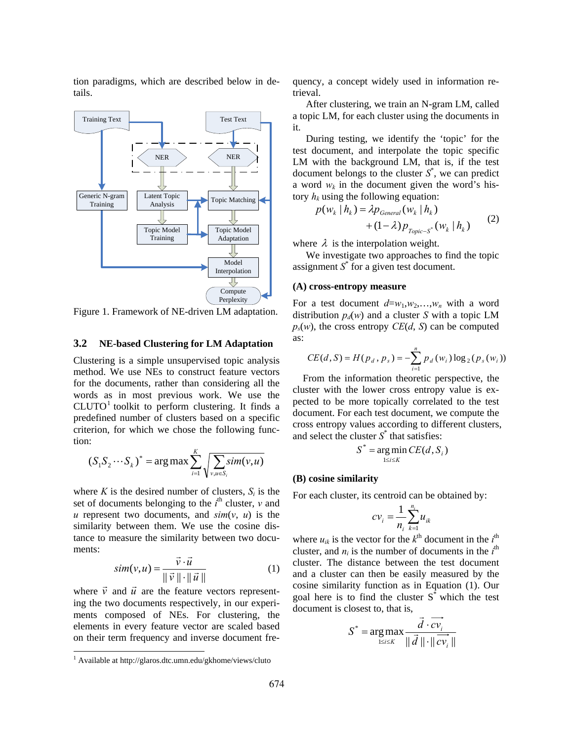tion paradigms, which are described below in details.



Figure 1. Framework of NE-driven LM adaptation.

#### **3.2 NE-based Clustering for LM Adaptation**

Clustering is a simple unsupervised topic analysis method. We use NEs to construct feature vectors for the documents, rather than considering all the words as in most previous work. We use the  $CLUTO<sup>1</sup>$  toolkit to perform clustering. It finds a predefined number of clusters based on a specific criterion, for which we chose the following function:

$$
(S_1 S_2 \cdots S_k)^* = \arg \max \sum_{i=1}^K \sqrt{\sum_{v, u \in S_i} sim(v, u)}
$$

where  $K$  is the desired number of clusters,  $S_i$  is the set of documents belonging to the  $i^{\text{th}}$  cluster,  $v$  and  $u$  represent two documents, and  $\sin(v, u)$  is the similarity between them. We use the cosine distance to measure the similarity between two documents:

$$
sim(v, u) = \frac{\vec{v} \cdot \vec{u}}{\|\vec{v}\| \cdot \|\vec{u}\|}
$$
 (1)

where  $\vec{v}$  and  $\vec{u}$  are the feature vectors representing the two documents respectively, in our experiments composed of NEs. For clustering, the elements in every feature vector are scaled based on their term frequency and inverse document fre-

 $\overline{a}$ 

quency, a concept widely used in information retrieval.

After clustering, we train an N-gram LM, called a topic LM, for each cluster using the documents in it.

During testing, we identify the 'topic' for the test document, and interpolate the topic specific LM with the background LM, that is, if the test document belongs to the cluster  $S^*$ , we can predict a word  $w_k$  in the document given the word's history  $h_k$  using the following equation:

$$
p(w_k | h_k) = \lambda p_{\text{General}}(w_k | h_k)
$$
  
+ 
$$
(1 - \lambda) p_{\text{Topic-S}^*}(w_k | h_k)
$$
 (2)

where  $\lambda$  is the interpolation weight.

We investigate two approaches to find the topic assignment  $S^*$  for a given test document.

#### **(A) cross-entropy measure**

For a test document  $d=w_1, w_2,...,w_n$  with a word distribution  $p_d(w)$  and a cluster *S* with a topic LM  $p_s(w)$ , the cross entropy *CE*(*d*, *S*) can be computed as:

$$
CE(d, S) = H(p_d, p_s) = -\sum_{i=1}^{n} p_d(w_i) \log_2(p_s(w_i))
$$

 From the information theoretic perspective, the cluster with the lower cross entropy value is expected to be more topically correlated to the test document. For each test document, we compute the cross entropy values according to different clusters, and select the cluster  $S^*$  that satisfies:

$$
S^* = \underset{1 \le i \le K}{\arg \min} CE(d, S_i)
$$

#### **(B) cosine similarity**

For each cluster, its centroid can be obtained by:

$$
cv_i = \frac{1}{n_i} \sum_{k=1}^{n_i} u_{ik}
$$

where  $u_{ik}$  is the vector for the  $k^{\text{th}}$  document in the  $i^{\text{th}}$ cluster, and  $n_i$  is the number of documents in the  $i^{\text{th}}$ cluster. The distance between the test document and a cluster can then be easily measured by the cosine similarity function as in Equation (1). Our goal here is to find the cluster  $S^*$  which the test document is closest to, that is,

$$
S^* = \underset{1 \le i \le K}{\arg \max} \frac{\vec{d} \cdot \vec{cv_i}}{\|\vec{d}\| \cdot \|\vec{cv_i}\|}
$$

<sup>&</sup>lt;sup>1</sup> Available at http://glaros.dtc.umn.edu/gkhome/views/cluto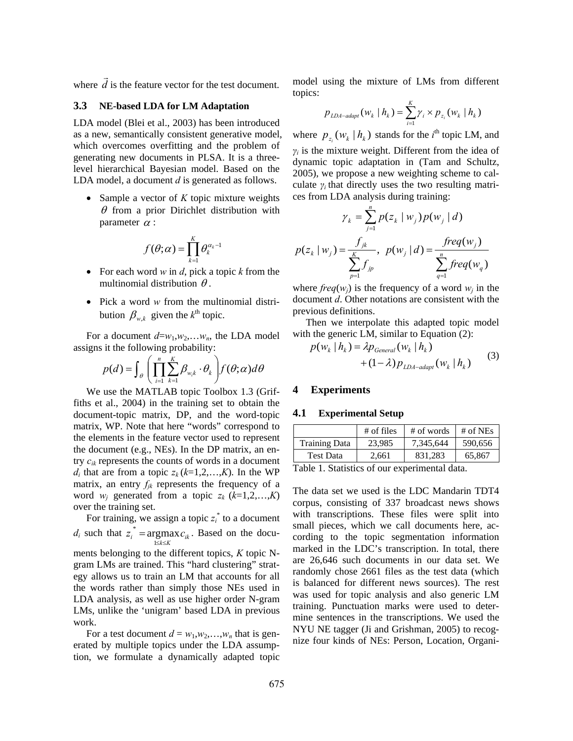where *d*  $\vec{d}$  is the feature vector for the test document.

#### **3.3 NE-based LDA for LM Adaptation**

LDA model (Blei et al., 2003) has been introduced as a new, semantically consistent generative model, which overcomes overfitting and the problem of generating new documents in PLSA. It is a threelevel hierarchical Bayesian model. Based on the LDA model, a document *d* is generated as follows.

• Sample a vector of *K* topic mixture weights  $\theta$  from a prior Dirichlet distribution with parameter  $\alpha$  :

$$
f(\theta;\alpha) = \prod_{k=1}^K \theta_k^{\alpha_k - 1}
$$

- For each word *w* in *d*, pick a topic *k* from the multinomial distribution  $\theta$ .
- Pick a word *w* from the multinomial distribution  $\beta_{w,k}$  given the  $k^{\text{th}}$  topic.

For a document  $d=w_1, w_2,...w_n$ , the LDA model assigns it the following probability:

$$
p(d) = \int_{\theta} \left( \prod_{i=1}^{n} \sum_{k=1}^{K} \beta_{w_i k} \cdot \theta_k \right) f(\theta; \alpha) d\theta
$$

We use the MATLAB topic Toolbox 1.3 (Griffiths et al., 2004) in the training set to obtain the document-topic matrix, DP, and the word-topic matrix, WP. Note that here "words" correspond to the elements in the feature vector used to represent the document (e.g., NEs). In the DP matrix, an entry *cik* represents the counts of words in a document *d<sub>i</sub>* that are from a topic  $z_k$  ( $k=1,2,...,K$ ). In the WP matrix, an entry  $f_{jk}$  represents the frequency of a word  $w_j$  generated from a topic  $z_k$  ( $k=1,2,...,K$ ) over the training set.

For training, we assign a topic  $z_i^*$  to a document *d<sub>i</sub>* such that  $z_i^* = \operatorname{argmax}_{1 \le k \le K} c_{ik}$ 1  $i^*$  = argmax  $c_{ik}$ . Based on the documents belonging to the different topics, *K* topic Ngram LMs are trained. This "hard clustering" strategy allows us to train an LM that accounts for all the words rather than simply those NEs used in LDA analysis, as well as use higher order N-gram LMs, unlike the 'unigram' based LDA in previous work.

For a test document  $d = w_1, w_2, \ldots, w_n$  that is generated by multiple topics under the LDA assumption, we formulate a dynamically adapted topic model using the mixture of LMs from different topics:

$$
p_{\text{LDA-adapt}}(w_k \mid h_k) = \sum_{i=1}^{K} \gamma_i \times p_{z_i}(w_k \mid h_k)
$$

where  $p_{z_i} ( w_k | h_k )$  stands for the *i*<sup>th</sup> topic LM, and *γi* is the mixture weight. Different from the idea of dynamic topic adaptation in (Tam and Schultz, 2005), we propose a new weighting scheme to calculate  $\gamma_i$  that directly uses the two resulting matrices from LDA analysis during training:

$$
\gamma_{k} = \sum_{j=1}^{n} p(z_{k} | w_{j}) p(w_{j} | d)
$$

$$
p(z_{k} | w_{j}) = \frac{f_{jk}}{\sum_{p=1}^{K} f_{jp}}, \ p(w_{j} | d) = \frac{freq(w_{j})}{\sum_{q=1}^{n} freq(w_{q})}
$$

where  $freq(w_i)$  is the frequency of a word  $w_i$  in the document *d*. Other notations are consistent with the previous definitions.

Then we interpolate this adapted topic model with the generic LM, similar to Equation (2):

$$
p(w_k | h_k) = \lambda p_{\text{General}}(w_k | h_k)
$$
  
+ 
$$
(1 - \lambda) p_{\text{LDA-adapt}}(w_k | h_k)
$$
 (3)

# **4 Experiments**

#### **4.1 Experimental Setup**

|                      | $#$ of files | # of words | # of NEs |
|----------------------|--------------|------------|----------|
| <b>Training Data</b> | 23,985       | 7.345.644  | 590,656  |
| <b>Test Data</b>     | 2.661        | 831.283    | 65,867   |
| _                    |              | .          |          |

Table 1. Statistics of our experimental data.

The data set we used is the LDC Mandarin TDT4 corpus, consisting of 337 broadcast news shows with transcriptions. These files were split into small pieces, which we call documents here, according to the topic segmentation information marked in the LDC's transcription. In total, there are 26,646 such documents in our data set. We randomly chose 2661 files as the test data (which is balanced for different news sources). The rest was used for topic analysis and also generic LM training. Punctuation marks were used to determine sentences in the transcriptions. We used the NYU NE tagger (Ji and Grishman, 2005) to recognize four kinds of NEs: Person, Location, Organi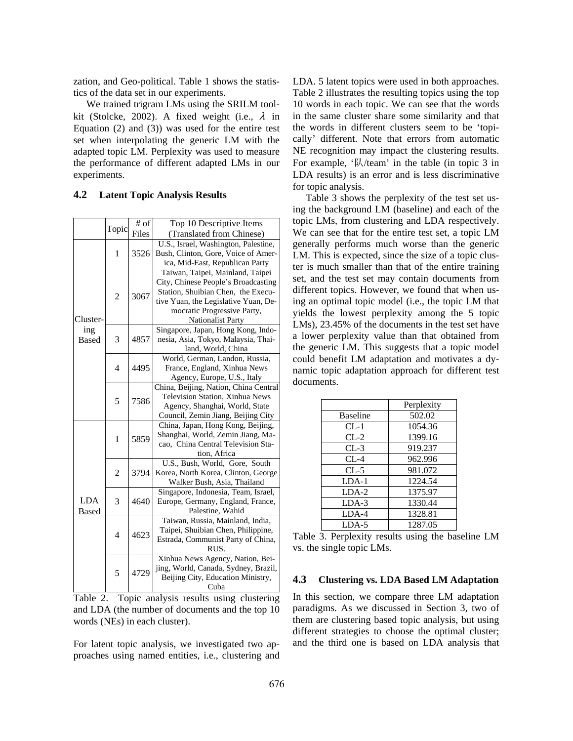zation, and Geo-political. Table 1 shows the statistics of the data set in our experiments.

We trained trigram LMs using the SRILM toolkit (Stolcke, 2002). A fixed weight (i.e.,  $\lambda$  in Equation (2) and (3)) was used for the entire test set when interpolating the generic LM with the adapted topic LM. Perplexity was used to measure the performance of different adapted LMs in our experiments.

## **4.2 Latent Topic Analysis Results**

|              |                | # of | Top 10 Descriptive Items              |  |
|--------------|----------------|------|---------------------------------------|--|
|              | Topic<br>Files |      | (Translated from Chinese)             |  |
|              |                |      | U.S., Israel, Washington, Palestine,  |  |
|              | 1              | 3526 | Bush, Clinton, Gore, Voice of Amer-   |  |
|              |                |      | ica, Mid-East, Republican Party       |  |
|              |                | 3067 | Taiwan, Taipei, Mainland, Taipei      |  |
|              |                |      | City, Chinese People's Broadcasting   |  |
|              | $\overline{c}$ |      | Station, Shuibian Chen, the Execu-    |  |
|              |                |      | tive Yuan, the Legislative Yuan, De-  |  |
|              |                |      | mocratic Progressive Party,           |  |
| Cluster-     |                |      | <b>Nationalist Party</b>              |  |
| ing          |                |      | Singapore, Japan, Hong Kong, Indo-    |  |
| <b>Based</b> | 3              | 4857 | nesia, Asia, Tokyo, Malaysia, Thai-   |  |
|              |                |      | land, World, China                    |  |
|              |                |      | World, German, Landon, Russia,        |  |
|              | $\overline{4}$ | 4495 | France, England, Xinhua News          |  |
|              |                |      | Agency, Europe, U.S., Italy           |  |
|              |                |      | China, Beijing, Nation, China Central |  |
|              |                |      | Television Station, Xinhua News       |  |
| 5            |                | 7586 | Agency, Shanghai, World, State        |  |
|              |                |      | Council, Zemin Jiang, Beijing City    |  |
|              |                |      | China, Japan, Hong Kong, Beijing,     |  |
| 1            |                | 5859 | Shanghai, World, Zemin Jiang, Ma-     |  |
|              |                |      | cao, China Central Television Sta-    |  |
|              |                |      | tion, Africa                          |  |
|              |                |      | U.S., Bush, World, Gore, South        |  |
|              | $\overline{c}$ | 3794 | Korea, North Korea, Clinton, George   |  |
|              |                |      | Walker Bush, Asia, Thailand           |  |
|              |                |      | Singapore, Indonesia, Team, Israel,   |  |
| <b>LDA</b>   | 3              | 4640 | Europe, Germany, England, France,     |  |
| <b>Based</b> |                |      | Palestine, Wahid                      |  |
|              |                |      | Taiwan, Russia, Mainland, India,      |  |
|              | $\overline{4}$ | 4623 | Taipei, Shuibian Chen, Philippine,    |  |
|              |                |      | Estrada, Communist Party of China,    |  |
|              |                |      | RUS.                                  |  |
|              |                |      | Xinhua News Agency, Nation, Bei-      |  |
|              | 5              | 4729 | jing, World, Canada, Sydney, Brazil,  |  |
|              |                |      | Beijing City, Education Ministry,     |  |
|              |                |      | Cuba                                  |  |

|                               |  |  | Table 2. Topic analysis results using clustering |
|-------------------------------|--|--|--------------------------------------------------|
|                               |  |  | and LDA (the number of documents and the top 10) |
| words (NEs) in each cluster). |  |  |                                                  |

For latent topic analysis, we investigated two approaches using named entities, i.e., clustering and LDA. 5 latent topics were used in both approaches. Table 2 illustrates the resulting topics using the top 10 words in each topic. We can see that the words in the same cluster share some similarity and that the words in different clusters seem to be 'topically' different. Note that errors from automatic NE recognition may impact the clustering results. For example, '队/team' in the table (in topic 3 in LDA results) is an error and is less discriminative for topic analysis.

Table 3 shows the perplexity of the test set using the background LM (baseline) and each of the topic LMs, from clustering and LDA respectively. We can see that for the entire test set, a topic LM generally performs much worse than the generic LM. This is expected, since the size of a topic cluster is much smaller than that of the entire training set, and the test set may contain documents from different topics. However, we found that when using an optimal topic model (i.e., the topic LM that yields the lowest perplexity among the 5 topic LMs), 23.45% of the documents in the test set have a lower perplexity value than that obtained from the generic LM. This suggests that a topic model could benefit LM adaptation and motivates a dynamic topic adaptation approach for different test documents.

|                 | Perplexity |
|-----------------|------------|
| <b>Baseline</b> | 502.02     |
| $CL-1$          | 1054.36    |
| $CL-2$          | 1399.16    |
| $CL-3$          | 919.237    |
| $CL-4$          | 962.996    |
| $CL-5$          | 981.072    |
| $LDA-1$         | 1224.54    |
| $LDA-2$         | 1375.97    |
| $LDA-3$         | 1330.44    |
| $LDA-4$         | 1328.81    |
| $LDA-5$         | 1287.05    |

Table 3. Perplexity results using the baseline LM vs. the single topic LMs.

#### **4.3 Clustering vs. LDA Based LM Adaptation**

In this section, we compare three LM adaptation paradigms. As we discussed in Section 3, two of them are clustering based topic analysis, but using different strategies to choose the optimal cluster; and the third one is based on LDA analysis that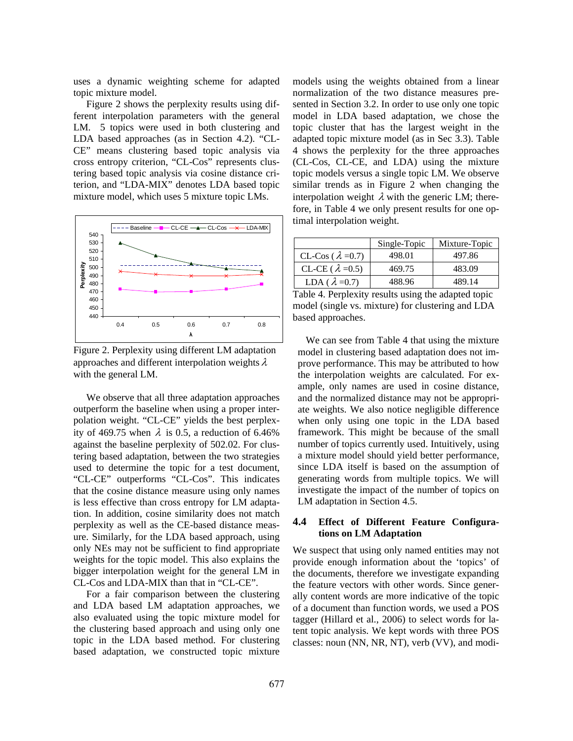uses a dynamic weighting scheme for adapted topic mixture model.

Figure 2 shows the perplexity results using different interpolation parameters with the general LM. 5 topics were used in both clustering and LDA based approaches (as in Section 4.2). "CL-CE" means clustering based topic analysis via cross entropy criterion, "CL-Cos" represents clustering based topic analysis via cosine distance criterion, and "LDA-MIX" denotes LDA based topic mixture model, which uses 5 mixture topic LMs.



Figure 2. Perplexity using different LM adaptation approaches and different interpolation weights  $\lambda$ with the general LM.

We observe that all three adaptation approaches outperform the baseline when using a proper interpolation weight. "CL-CE" yields the best perplexity of 469.75 when  $\lambda$  is 0.5, a reduction of 6.46% against the baseline perplexity of 502.02. For clustering based adaptation, between the two strategies used to determine the topic for a test document, "CL-CE" outperforms "CL-Cos". This indicates that the cosine distance measure using only names is less effective than cross entropy for LM adaptation. In addition, cosine similarity does not match perplexity as well as the CE-based distance measure. Similarly, for the LDA based approach, using only NEs may not be sufficient to find appropriate weights for the topic model. This also explains the bigger interpolation weight for the general LM in CL-Cos and LDA-MIX than that in "CL-CE".

For a fair comparison between the clustering and LDA based LM adaptation approaches, we also evaluated using the topic mixture model for the clustering based approach and using only one topic in the LDA based method. For clustering based adaptation, we constructed topic mixture models using the weights obtained from a linear normalization of the two distance measures presented in Section 3.2. In order to use only one topic model in LDA based adaptation, we chose the topic cluster that has the largest weight in the adapted topic mixture model (as in Sec 3.3). Table 4 shows the perplexity for the three approaches (CL-Cos, CL-CE, and LDA) using the mixture topic models versus a single topic LM. We observe similar trends as in Figure 2 when changing the interpolation weight  $\lambda$  with the generic LM; therefore, in Table 4 we only present results for one optimal interpolation weight.

|                           | Single-Topic | Mixture-Topic |
|---------------------------|--------------|---------------|
| CL-Cos ( $\lambda$ =0.7)  | 498.01       | 497.86        |
| CL-CE ( $\lambda = 0.5$ ) | 469.75       | 483.09        |
| LDA ( $\lambda = 0.7$ )   | 488.96       | 489.14        |

Table 4. Perplexity results using the adapted topic model (single vs. mixture) for clustering and LDA based approaches.

We can see from Table 4 that using the mixture model in clustering based adaptation does not improve performance. This may be attributed to how the interpolation weights are calculated. For example, only names are used in cosine distance, and the normalized distance may not be appropriate weights. We also notice negligible difference when only using one topic in the LDA based framework. This might be because of the small number of topics currently used. Intuitively, using a mixture model should yield better performance, since LDA itself is based on the assumption of generating words from multiple topics. We will investigate the impact of the number of topics on LM adaptation in Section 4.5.

### **4.4 Effect of Different Feature Configurations on LM Adaptation**

We suspect that using only named entities may not provide enough information about the 'topics' of the documents, therefore we investigate expanding the feature vectors with other words. Since generally content words are more indicative of the topic of a document than function words, we used a POS tagger (Hillard et al., 2006) to select words for latent topic analysis. We kept words with three POS classes: noun (NN, NR, NT), verb (VV), and modi-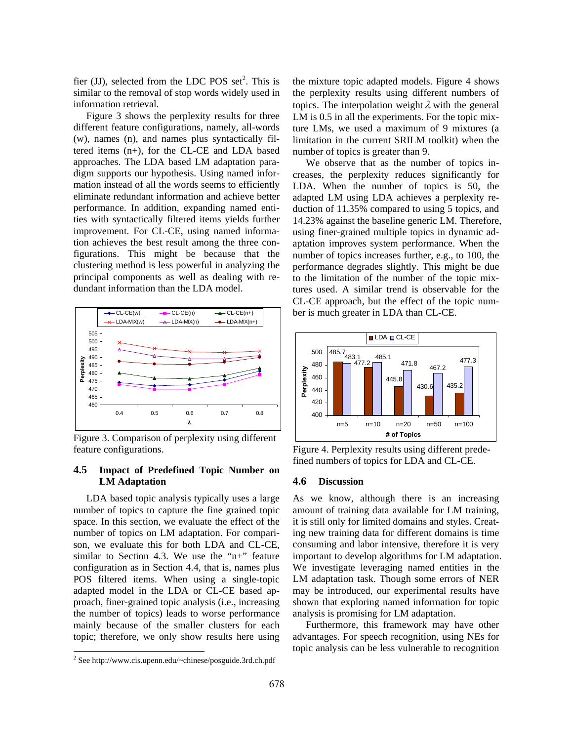fier (JJ), selected from the LDC POS set<sup>2</sup>. This is similar to the removal of stop words widely used in information retrieval.

Figure 3 shows the perplexity results for three different feature configurations, namely, all-words (w), names (n), and names plus syntactically filtered items (n+), for the CL-CE and LDA based approaches. The LDA based LM adaptation paradigm supports our hypothesis. Using named information instead of all the words seems to efficiently eliminate redundant information and achieve better performance. In addition, expanding named entities with syntactically filtered items yields further improvement. For CL-CE, using named information achieves the best result among the three configurations. This might be because that the clustering method is less powerful in analyzing the principal components as well as dealing with redundant information than the LDA model.



Figure 3. Comparison of perplexity using different feature configurations.

# **4.5 Impact of Predefined Topic Number on LM Adaptation**

LDA based topic analysis typically uses a large number of topics to capture the fine grained topic space. In this section, we evaluate the effect of the number of topics on LM adaptation. For comparison, we evaluate this for both LDA and CL-CE, similar to Section 4.3. We use the " $n+$ " feature configuration as in Section 4.4, that is, names plus POS filtered items. When using a single-topic adapted model in the LDA or CL-CE based approach, finer-grained topic analysis (i.e., increasing the number of topics) leads to worse performance mainly because of the smaller clusters for each topic; therefore, we only show results here using

 $\overline{a}$ 

the mixture topic adapted models. Figure 4 shows the perplexity results using different numbers of topics. The interpolation weight  $\lambda$  with the general LM is 0.5 in all the experiments. For the topic mixture LMs, we used a maximum of 9 mixtures (a limitation in the current SRILM toolkit) when the number of topics is greater than 9.

We observe that as the number of topics increases, the perplexity reduces significantly for LDA. When the number of topics is 50, the adapted LM using LDA achieves a perplexity reduction of 11.35% compared to using 5 topics, and 14.23% against the baseline generic LM. Therefore, using finer-grained multiple topics in dynamic adaptation improves system performance. When the number of topics increases further, e.g., to 100, the performance degrades slightly. This might be due to the limitation of the number of the topic mixtures used. A similar trend is observable for the CL-CE approach, but the effect of the topic number is much greater in LDA than CL-CE.



Figure 4. Perplexity results using different predefined numbers of topics for LDA and CL-CE.

### **4.6 Discussion**

As we know, although there is an increasing amount of training data available for LM training, it is still only for limited domains and styles. Creating new training data for different domains is time consuming and labor intensive, therefore it is very important to develop algorithms for LM adaptation. We investigate leveraging named entities in the LM adaptation task. Though some errors of NER may be introduced, our experimental results have shown that exploring named information for topic analysis is promising for LM adaptation.

Furthermore, this framework may have other advantages. For speech recognition, using NEs for topic analysis can be less vulnerable to recognition

<sup>2</sup> See http://www.cis.upenn.edu/~chinese/posguide.3rd.ch.pdf